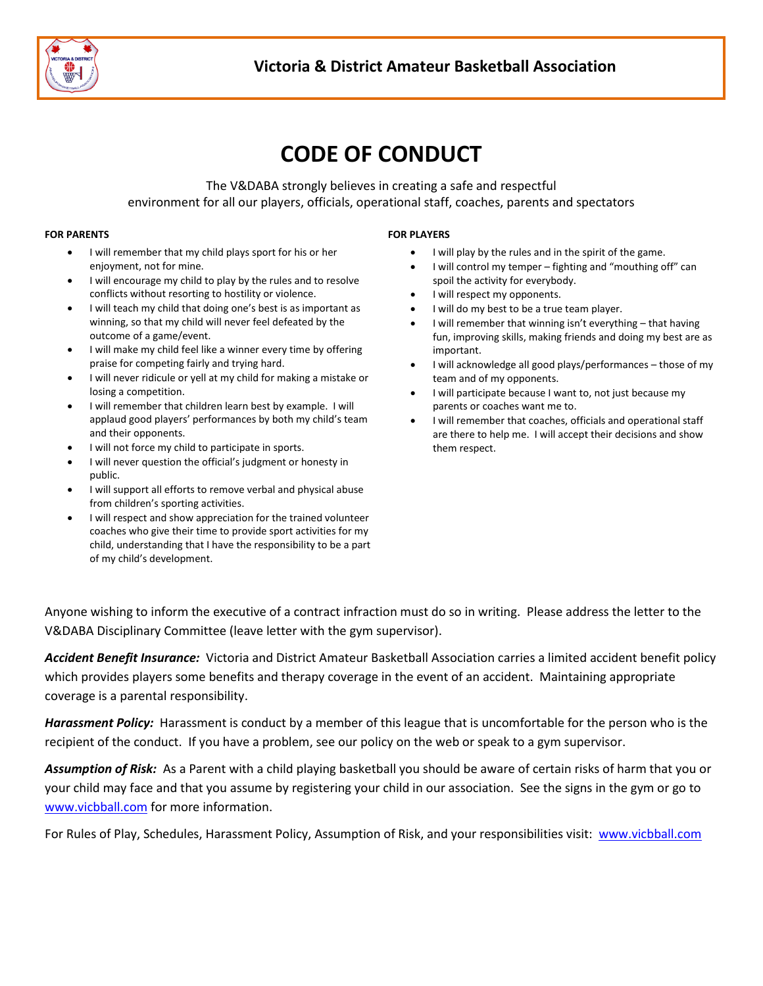

# **CODE OF CONDUCT**

The V&DABA strongly believes in creating a safe and respectful environment for all our players, officials, operational staff, coaches, parents and spectators

#### **FOR PARENTS**

- I will remember that my child plays sport for his or her enjoyment, not for mine.
- I will encourage my child to play by the rules and to resolve conflicts without resorting to hostility or violence.
- I will teach my child that doing one's best is as important as winning, so that my child will never feel defeated by the outcome of a game/event.
- I will make my child feel like a winner every time by offering praise for competing fairly and trying hard.
- I will never ridicule or yell at my child for making a mistake or losing a competition.
- I will remember that children learn best by example. I will applaud good players' performances by both my child's team and their opponents.
- I will not force my child to participate in sports.
- I will never question the official's judgment or honesty in public.
- I will support all efforts to remove verbal and physical abuse from children's sporting activities.
- I will respect and show appreciation for the trained volunteer coaches who give their time to provide sport activities for my child, understanding that I have the responsibility to be a part of my child's development.

#### **FOR PLAYERS**

- I will play by the rules and in the spirit of the game.
- I will control my temper fighting and "mouthing off" can spoil the activity for everybody.
- I will respect my opponents.
- I will do my best to be a true team player.
- I will remember that winning isn't everything that having fun, improving skills, making friends and doing my best are as important.
- I will acknowledge all good plays/performances those of my team and of my opponents.
- I will participate because I want to, not just because my parents or coaches want me to.
- I will remember that coaches, officials and operational staff are there to help me. I will accept their decisions and show them respect.

Anyone wishing to inform the executive of a contract infraction must do so in writing. Please address the letter to the V&DABA Disciplinary Committee (leave letter with the gym supervisor).

*Accident Benefit Insurance:* Victoria and District Amateur Basketball Association carries a limited accident benefit policy which provides players some benefits and therapy coverage in the event of an accident. Maintaining appropriate coverage is a parental responsibility.

*Harassment Policy:* Harassment is conduct by a member of this league that is uncomfortable for the person who is the recipient of the conduct. If you have a problem, see our policy on the web or speak to a gym supervisor.

*Assumption of Risk:* As a Parent with a child playing basketball you should be aware of certain risks of harm that you or your child may face and that you assume by registering your child in our association. See the signs in the gym or go to [www.vicbball.com](http://www.vicbball.com/) for more information.

For Rules of Play, Schedules, Harassment Policy, Assumption of Risk, and your responsibilities visit: [www.vicbball.com](http://www.vicbball.com/)